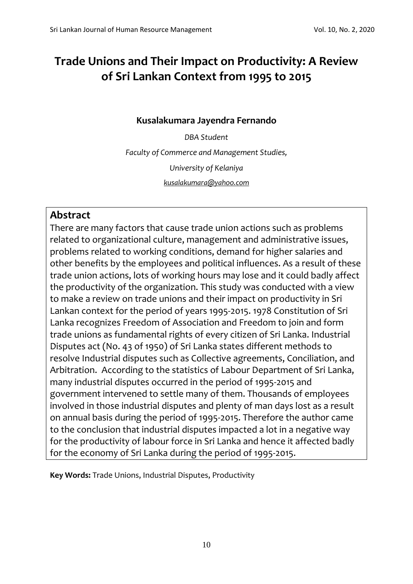# **Trade Unions and Their Impact on Productivity: A Review of Sri Lankan Context from 1995 to 2015**

# **Kusalakumara Jayendra Fernando**

*DBA Student Faculty of Commerce and Management Studies, University of Kelaniya [kusalakumara@yahoo.com](mailto:kusalakumara@yahoo.com)*

# **Abstract**

There are many factors that cause trade union actions such as problems related to organizational culture, management and administrative issues, problems related to working conditions, demand for higher salaries and other benefits by the employees and political influences. As a result of these trade union actions, lots of working hours may lose and it could badly affect the productivity of the organization. This study was conducted with a view to make a review on trade unions and their impact on productivity in Sri Lankan context for the period of years 1995-2015. 1978 Constitution of Sri Lanka recognizes Freedom of Association and Freedom to join and form trade unions as fundamental rights of every citizen of Sri Lanka. Industrial Disputes act (No. 43 of 1950) of Sri Lanka states different methods to resolve Industrial disputes such as Collective agreements, Conciliation, and Arbitration. According to the statistics of Labour Department of Sri Lanka, many industrial disputes occurred in the period of 1995-2015 and government intervened to settle many of them. Thousands of employees involved in those industrial disputes and plenty of man days lost as a result on annual basis during the period of 1995-2015. Therefore the author came to the conclusion that industrial disputes impacted a lot in a negative way for the productivity of labour force in Sri Lanka and hence it affected badly for the economy of Sri Lanka during the period of 1995-2015.

**Key Words:** Trade Unions, Industrial Disputes, Productivity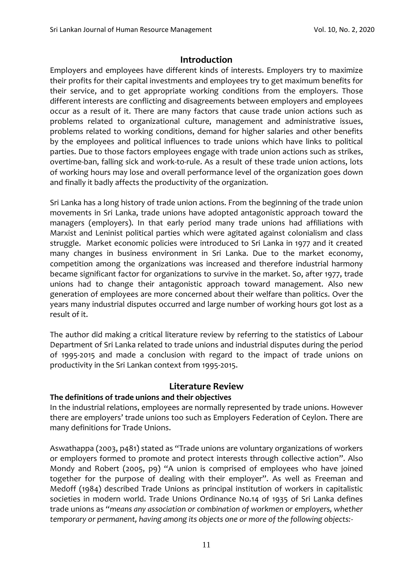## **Introduction**

Employers and employees have different kinds of interests. Employers try to maximize their profits for their capital investments and employees try to get maximum benefits for their service, and to get appropriate working conditions from the employers. Those different interests are conflicting and disagreements between employers and employees occur as a result of it. There are many factors that cause trade union actions such as problems related to organizational culture, management and administrative issues, problems related to working conditions, demand for higher salaries and other benefits by the employees and political influences to trade unions which have links to political parties. Due to those factors employees engage with trade union actions such as strikes, overtime-ban, falling sick and work-to-rule. As a result of these trade union actions, lots of working hours may lose and overall performance level of the organization goes down and finally it badly affects the productivity of the organization.

Sri Lanka has a long history of trade union actions. From the beginning of the trade union movements in Sri Lanka, trade unions have adopted antagonistic approach toward the managers (employers). In that early period many trade unions had affiliations with Marxist and Leninist political parties which were agitated against colonialism and class struggle. Market economic policies were introduced to Sri Lanka in 1977 and it created many changes in business environment in Sri Lanka. Due to the market economy, competition among the organizations was increased and therefore industrial harmony became significant factor for organizations to survive in the market. So, after 1977, trade unions had to change their antagonistic approach toward management. Also new generation of employees are more concerned about their welfare than politics. Over the years many industrial disputes occurred and large number of working hours got lost as a result of it.

The author did making a critical literature review by referring to the statistics of Labour Department of Sri Lanka related to trade unions and industrial disputes during the period of 1995-2015 and made a conclusion with regard to the impact of trade unions on productivity in the Sri Lankan context from 1995-2015.

## **Literature Review**

#### **The definitions of trade unions and their objectives**

In the industrial relations, employees are normally represented by trade unions. However there are employers' trade unions too such as Employers Federation of Ceylon. There are many definitions for Trade Unions.

Aswathappa (2003, p481) stated as "Trade unions are voluntary organizations of workers or employers formed to promote and protect interests through collective action". Also Mondy and Robert (2005, p9) "A union is comprised of employees who have joined together for the purpose of dealing with their employer". As well as Freeman and Medoff (1984) described Trade Unions as principal institution of workers in capitalistic societies in modern world. Trade Unions Ordinance No.14 of 1935 of Sri Lanka defines trade unions as *"means any association or combination of workmen or employers, whether temporary or permanent, having among its objects one or more of the following objects:-*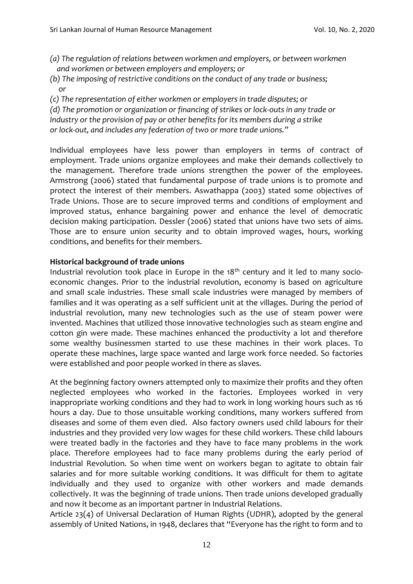- *(a) The regulation of relations between workmen and employers, or between workmen and workmen or between employers and employers; or*
- *(b) The imposing of restrictive conditions on the conduct of any trade or business; or*
- *(c) The representation of either workmen or employers in trade disputes; or*

*(d) The promotion or organization or financing of strikes or lock-outs in any trade or Industry or the provision of pay or other benefits for its members during a strike or lock-out, and includes any federation of two or more trade unions."*

Individual employees have less power than employers in terms of contract of employment. Trade unions organize employees and make their demands collectively to the management. Therefore trade unions strengthen the power of the employees. Armstrong (2006) stated that fundamental purpose of trade unions is to promote and protect the interest of their members. Aswathappa (2003) stated some objectives of Trade Unions. Those are to secure improved terms and conditions of employment and improved status, enhance bargaining power and enhance the level of democratic decision making participation. Dessler (2006) stated that unions have two sets of aims. Those are to ensure union security and to obtain improved wages, hours, working conditions, and benefits for their members.

#### **Historical background of trade unions**

Industrial revolution took place in Europe in the  $18<sup>th</sup>$  century and it led to many socioeconomic changes. Prior to the industrial revolution, economy is based on agriculture and small scale industries. These small scale industries were managed by members of families and it was operating as a self sufficient unit at the villages. During the period of industrial revolution, many new technologies such as the use of steam power were invented. Machines that utilized those innovative technologies such as steam engine and cotton gin were made. These machines enhanced the productivity a lot and therefore some wealthy businessmen started to use these machines in their work places. To operate these machines, large space wanted and large work force needed. So factories were established and poor people worked in there as slaves.

At the beginning factory owners attempted only to maximize their profits and they often neglected employees who worked in the factories. Employees worked in very inappropriate working conditions and they had to work in long working hours such as 16 hours a day. Due to those unsuitable working conditions, many workers suffered from diseases and some of them even died. Also factory owners used child labours for their industries and they provided very low wages for these child workers. These child labours were treated badly in the factories and they have to face many problems in the work place. Therefore employees had to face many problems during the early period of Industrial Revolution. So when time went on workers began to agitate to obtain fair salaries and for more suitable working conditions. It was difficult for them to agitate individually and they used to organize with other workers and made demands collectively. It was the beginning of trade unions. Then trade unions developed gradually and now it become as an important partner in Industrial Relations.

Article 23(4) of Universal Declaration of Human Rights (UDHR), adopted by the general assembly of United Nations, in 1948, declares that "Everyone has the right to form and to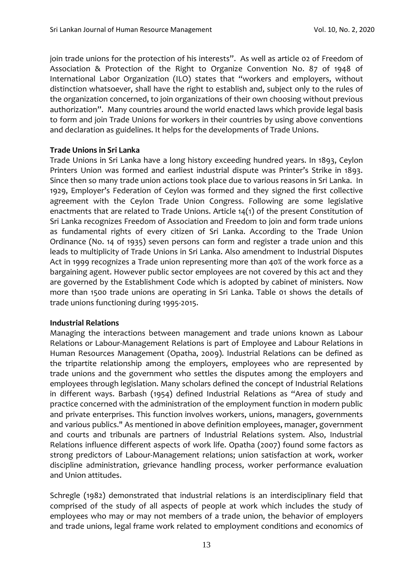join trade unions for the protection of his interests". As well as article 02 of Freedom of Association & Protection of the Right to Organize Convention No. 87 of 1948 of International Labor Organization (ILO) states that "workers and employers, without distinction whatsoever, shall have the right to establish and, subject only to the rules of the organization concerned, to join organizations of their own choosing without previous authorization". Many countries around the world enacted laws which provide legal basis to form and join Trade Unions for workers in their countries by using above conventions and declaration as guidelines. It helps for the developments of Trade Unions.

#### **Trade Unions in Sri Lanka**

Trade Unions in Sri Lanka have a long history exceeding hundred years. In 1893, Ceylon Printers Union was formed and earliest industrial dispute was Printer's Strike in 1893. Since then so many trade union actions took place due to various reasons in Sri Lanka. In 1929, Employer's Federation of Ceylon was formed and they signed the first collective agreement with the Ceylon Trade Union Congress. Following are some legislative enactments that are related to Trade Unions. Article 14(1) of the present Constitution of Sri Lanka recognizes Freedom of Association and Freedom to join and form trade unions as fundamental rights of every citizen of Sri Lanka. According to the Trade Union Ordinance (No. 14 of 1935) seven persons can form and register a trade union and this leads to multiplicity of Trade Unions in Sri Lanka. Also amendment to Industrial Disputes Act in 1999 recognizes a Trade union representing more than 40% of the work force as a bargaining agent. However public sector employees are not covered by this act and they are governed by the Establishment Code which is adopted by cabinet of ministers. Now more than 1500 trade unions are operating in Sri Lanka. Table 01 shows the details of trade unions functioning during 1995-2015.

#### **Industrial Relations**

Managing the interactions between management and trade unions known as Labour Relations or Labour-Management Relations is part of Employee and Labour Relations in Human Resources Management (Opatha, 2009). Industrial Relations can be defined as the tripartite relationship among the employers, employees who are represented by trade unions and the government who settles the disputes among the employers and employees through legislation. Many scholars defined the concept of Industrial Relations in different ways. Barbash (1954) defined Industrial Relations as "Area of study and practice concerned with the administration of the employment function in modern public and private enterprises. This function involves workers, unions, managers, governments and various publics." As mentioned in above definition employees, manager, government and courts and tribunals are partners of Industrial Relations system. Also, Industrial Relations influence different aspects of work life. Opatha (2007) found some factors as strong predictors of Labour-Management relations; union satisfaction at work, worker discipline administration, grievance handling process, worker performance evaluation and Union attitudes.

Schregle (1982) demonstrated that industrial relations is an interdisciplinary field that comprised of the study of all aspects of people at work which includes the study of employees who may or may not members of a trade union, the behavior of employers and trade unions, legal frame work related to employment conditions and economics of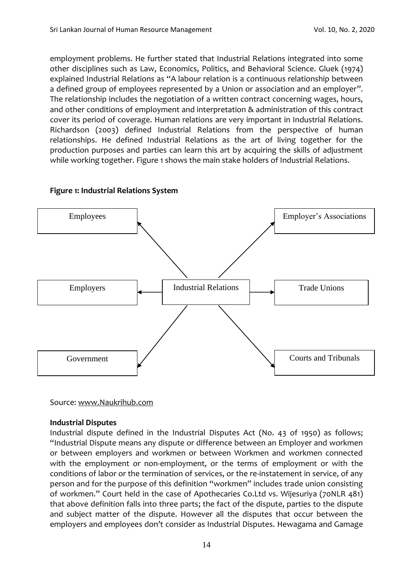employment problems. He further stated that Industrial Relations integrated into some other disciplines such as Law, Economics, Politics, and Behavioral Science. Gluek (1974) explained Industrial Relations as "A labour relation is a continuous relationship between a defined group of employees represented by a Union or association and an employer". The relationship includes the negotiation of a written contract concerning wages, hours, and other conditions of employment and interpretation & administration of this contract cover its period of coverage. Human relations are very important in Industrial Relations. Richardson (2003) defined Industrial Relations from the perspective of human relationships. He defined Industrial Relations as the art of living together for the production purposes and parties can learn this art by acquiring the skills of adjustment while working together. Figure 1 shows the main stake holders of Industrial Relations.



#### **Figure 1: Industrial Relations System**

Source[: www.Naukrihub.com](http://www.naukrihub.com/)

#### **Industrial Disputes**

Industrial dispute defined in the Industrial Disputes Act (No. 43 of 1950) as follows; "Industrial Dispute means any dispute or difference between an Employer and workmen or between employers and workmen or between Workmen and workmen connected with the employment or non-employment, or the terms of employment or with the conditions of labor or the termination of services, or the re-instatement in service, of any person and for the purpose of this definition "workmen" includes trade union consisting of workmen." Court held in the case of Apothecaries Co.Ltd vs. Wijesuriya (70NLR 481) that above definition falls into three parts; the fact of the dispute, parties to the dispute and subject matter of the dispute. However all the disputes that occur between the employers and employees don't consider as Industrial Disputes. Hewagama and Gamage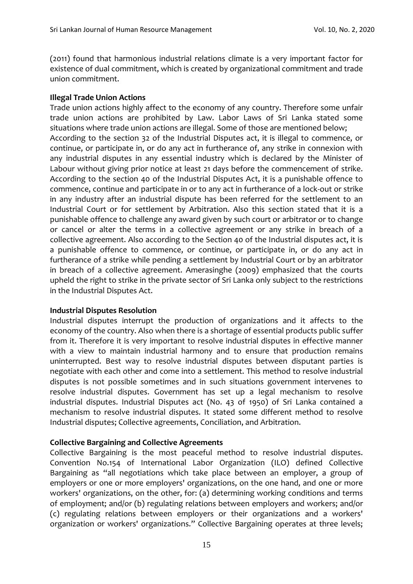(2011) found that harmonious industrial relations climate is a very important factor for existence of dual commitment, which is created by organizational commitment and trade union commitment.

#### **Illegal Trade Union Actions**

Trade union actions highly affect to the economy of any country. Therefore some unfair trade union actions are prohibited by Law. Labor Laws of Sri Lanka stated some situations where trade union actions are illegal. Some of those are mentioned below; According to the section 32 of the Industrial Disputes act, it is illegal to commence, or continue, or participate in, or do any act in furtherance of, any strike in connexion with any industrial disputes in any essential industry which is declared by the Minister of Labour without giving prior notice at least 21 days before the commencement of strike. According to the section 40 of the Industrial Disputes Act, it is a punishable offence to commence, continue and participate in or to any act in furtherance of a lock-out or strike in any industry after an industrial dispute has been referred for the settlement to an Industrial Court or for settlement by Arbitration. Also this section stated that it is a punishable offence to challenge any award given by such court or arbitrator or to change or cancel or alter the terms in a collective agreement or any strike in breach of a collective agreement. Also according to the Section 40 of the Industrial disputes act, it is a punishable offence to commence, or continue, or participate in, or do any act in furtherance of a strike while pending a settlement by Industrial Court or by an arbitrator in breach of a collective agreement. Amerasinghe (2009) emphasized that the courts upheld the right to strike in the private sector of Sri Lanka only subject to the restrictions in the Industrial Disputes Act.

#### **Industrial Disputes Resolution**

Industrial disputes interrupt the production of organizations and it affects to the economy of the country. Also when there is a shortage of essential products public suffer from it. Therefore it is very important to resolve industrial disputes in effective manner with a view to maintain industrial harmony and to ensure that production remains uninterrupted. Best way to resolve industrial disputes between disputant parties is negotiate with each other and come into a settlement. This method to resolve industrial disputes is not possible sometimes and in such situations government intervenes to resolve industrial disputes. Government has set up a legal mechanism to resolve industrial disputes. Industrial Disputes act (No. 43 of 1950) of Sri Lanka contained a mechanism to resolve industrial disputes. It stated some different method to resolve Industrial disputes; Collective agreements, Conciliation, and Arbitration.

#### **Collective Bargaining and Collective Agreements**

Collective Bargaining is the most peaceful method to resolve industrial disputes. Convention No.154 of International Labor Organization (ILO) defined Collective Bargaining as "all negotiations which take place between an employer, a group of employers or one or more employers' organizations, on the one hand, and one or more workers' organizations, on the other, for: (a) determining working conditions and terms of employment; and/or (b) regulating relations between employers and workers; and/or (c) regulating relations between employers or their organizations and a workers' organization or workers' organizations." Collective Bargaining operates at three levels;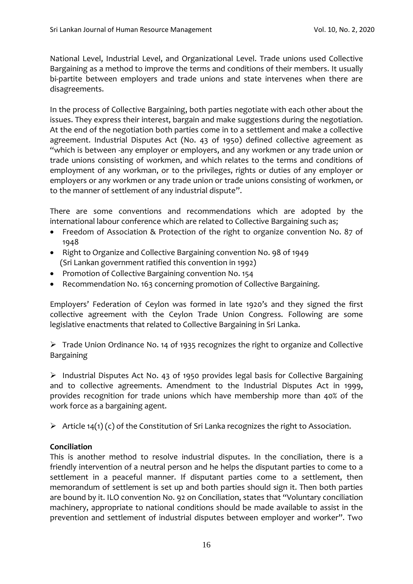National Level, Industrial Level, and Organizational Level. Trade unions used Collective Bargaining as a method to improve the terms and conditions of their members. It usually bi-partite between employers and trade unions and state intervenes when there are disagreements.

In the process of Collective Bargaining, both parties negotiate with each other about the issues. They express their interest, bargain and make suggestions during the negotiation. At the end of the negotiation both parties come in to a settlement and make a collective agreement. Industrial Disputes Act (No. 43 of 1950) defined collective agreement as "which is between -any employer or employers, and any workmen or any trade union or trade unions consisting of workmen, and which relates to the terms and conditions of employment of any workman, or to the privileges, rights or duties of any employer or employers or any workmen or any trade union or trade unions consisting of workmen, or to the manner of settlement of any industrial dispute".

There are some conventions and recommendations which are adopted by the international labour conference which are related to Collective Bargaining such as;

- Freedom of Association & Protection of the right to organize convention No. 87 of 1948
- Right to Organize and Collective Bargaining convention No. 98 of 1949 (Sri Lankan government ratified this convention in 1992)
- Promotion of Collective Bargaining convention No. 154
- Recommendation No. 163 concerning promotion of Collective Bargaining.

Employers' Federation of Ceylon was formed in late 1920's and they signed the first collective agreement with the Ceylon Trade Union Congress. Following are some legislative enactments that related to Collective Bargaining in Sri Lanka.

➢ Trade Union Ordinance No. 14 of 1935 recognizes the right to organize and Collective Bargaining

➢ Industrial Disputes Act No. 43 of 1950 provides legal basis for Collective Bargaining and to collective agreements. Amendment to the Industrial Disputes Act in 1999, provides recognition for trade unions which have membership more than 40% of the work force as a bargaining agent.

 $\triangleright$  Article 14(1) (c) of the Constitution of Sri Lanka recognizes the right to Association.

#### **Conciliation**

This is another method to resolve industrial disputes. In the conciliation, there is a friendly intervention of a neutral person and he helps the disputant parties to come to a settlement in a peaceful manner. If disputant parties come to a settlement, then memorandum of settlement is set up and both parties should sign it. Then both parties are bound by it. ILO convention No. 92 on Conciliation, states that "Voluntary conciliation machinery, appropriate to national conditions should be made available to assist in the prevention and settlement of industrial disputes between employer and worker". Two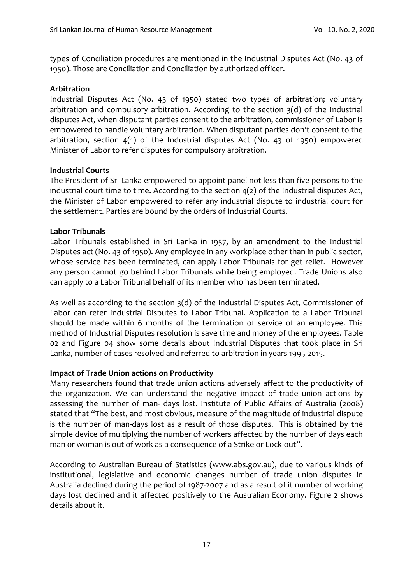types of Conciliation procedures are mentioned in the Industrial Disputes Act (No. 43 of 1950). Those are Conciliation and Conciliation by authorized officer.

#### **Arbitration**

Industrial Disputes Act (No. 43 of 1950) stated two types of arbitration; voluntary arbitration and compulsory arbitration. According to the section 3(d) of the Industrial disputes Act, when disputant parties consent to the arbitration, commissioner of Labor is empowered to handle voluntary arbitration. When disputant parties don't consent to the arbitration, section 4(1) of the Industrial disputes Act (No. 43 of 1950) empowered Minister of Labor to refer disputes for compulsory arbitration.

#### **Industrial Courts**

The President of Sri Lanka empowered to appoint panel not less than five persons to the industrial court time to time. According to the section 4(2) of the Industrial disputes Act, the Minister of Labor empowered to refer any industrial dispute to industrial court for the settlement. Parties are bound by the orders of Industrial Courts.

#### **Labor Tribunals**

Labor Tribunals established in Sri Lanka in 1957, by an amendment to the Industrial Disputes act (No. 43 of 1950). Any employee in any workplace other than in public sector, whose service has been terminated, can apply Labor Tribunals for get relief. However any person cannot go behind Labor Tribunals while being employed. Trade Unions also can apply to a Labor Tribunal behalf of its member who has been terminated.

As well as according to the section 3(d) of the Industrial Disputes Act, Commissioner of Labor can refer Industrial Disputes to Labor Tribunal. Application to a Labor Tribunal should be made within 6 months of the termination of service of an employee. This method of Industrial Disputes resolution is save time and money of the employees. Table 02 and Figure 04 show some details about Industrial Disputes that took place in Sri Lanka, number of cases resolved and referred to arbitration in years 1995-2015.

#### **Impact of Trade Union actions on Productivity**

Many researchers found that trade union actions adversely affect to the productivity of the organization. We can understand the negative impact of trade union actions by assessing the number of man- days lost. Institute of Public Affairs of Australia (2008) stated that "The best, and most obvious, measure of the magnitude of industrial dispute is the number of man-days lost as a result of those disputes. This is obtained by the simple device of multiplying the number of workers affected by the number of days each man or woman is out of work as a consequence of a Strike or Lock-out".

According to Australian Bureau of Statistics [\(www.abs.gov.au\)](http://www.abs.gov.au/), due to various kinds of institutional, legislative and economic changes number of trade union disputes in Australia declined during the period of 1987-2007 and as a result of it number of working days lost declined and it affected positively to the Australian Economy. Figure 2 shows details about it.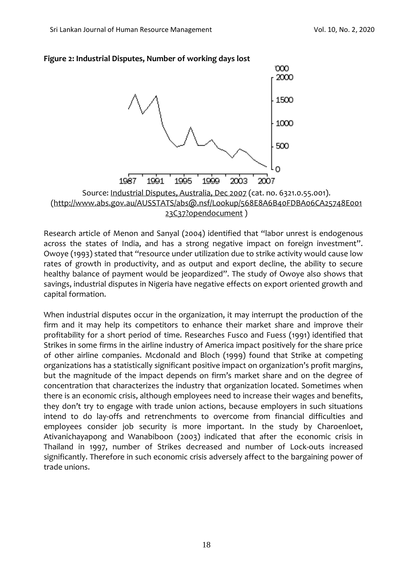



Research article of Menon and Sanyal (2004) identified that "labor unrest is endogenous across the states of India, and has a strong negative impact on foreign investment". Owoye (1993) stated that "resource under utilization due to strike activity would cause low rates of growth in productivity, and as output and export decline, the ability to secure healthy balance of payment would be jeopardized". The study of Owoye also shows that savings, industrial disputes in Nigeria have negative effects on export oriented growth and capital formation.

When industrial disputes occur in the organization, it may interrupt the production of the firm and it may help its competitors to enhance their market share and improve their profitability for a short period of time. Researches Fusco and Fuess (1991) identified that Strikes in some firms in the airline industry of America impact positively for the share price of other airline companies. Mcdonald and Bloch (1999) found that Strike at competing organizations has a statistically significant positive impact on organization's profit margins, but the magnitude of the impact depends on firm's market share and on the degree of concentration that characterizes the industry that organization located. Sometimes when there is an economic crisis, although employees need to increase their wages and benefits, they don't try to engage with trade union actions, because employers in such situations intend to do lay-offs and retrenchments to overcome from financial difficulties and employees consider job security is more important. In the study by Charoenloet, Ativanichayapong and Wanabiboon (2003) indicated that after the economic crisis in Thailand in 1997, number of Strikes decreased and number of Lock-outs increased significantly. Therefore in such economic crisis adversely affect to the bargaining power of trade unions.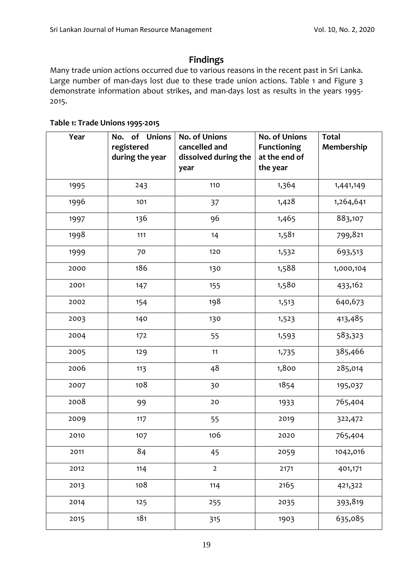# **Findings**

Many trade union actions occurred due to various reasons in the recent past in Sri Lanka. Large number of man-days lost due to these trade union actions. Table 1 and Figure 3 demonstrate information about strikes, and man-days lost as results in the years 1995- 2015.

#### **Table 1: Trade Unions 1995-2015**

| Year | of Unions<br>No.<br>registered<br>during the year | <b>No. of Unions</b><br>cancelled and<br>dissolved during the<br>year | <b>No. of Unions</b><br><b>Functioning</b><br>at the end of<br>the year | <b>Total</b><br>Membership |
|------|---------------------------------------------------|-----------------------------------------------------------------------|-------------------------------------------------------------------------|----------------------------|
| 1995 | 243                                               | 110                                                                   | 1,364                                                                   | 1,441,149                  |
| 1996 | 101                                               | 37                                                                    | 1,428                                                                   | 1,264,641                  |
| 1997 | 136                                               | 96                                                                    | 1,465                                                                   | 883,107                    |
| 1998 | 111                                               | 14                                                                    | 1,581                                                                   | 799,821                    |
| 1999 | 70                                                | 120                                                                   | 1,532                                                                   | 693,513                    |
| 2000 | 186                                               | 130                                                                   | 1,588                                                                   | 1,000,104                  |
| 2001 | 147                                               | 155                                                                   | 1,580                                                                   | 433,162                    |
| 2002 | 154                                               | 198                                                                   | 1,513                                                                   | 640,673                    |
| 2003 | 140                                               | 130                                                                   | 1,523                                                                   | 413,485                    |
| 2004 | 172                                               | 55                                                                    | 1,593                                                                   | 583,323                    |
| 2005 | 129                                               | 11                                                                    | 1,735                                                                   | 385,466                    |
| 2006 | 113                                               | 48                                                                    | 1,800                                                                   | 285,014                    |
| 2007 | 108                                               | 30                                                                    | 1854                                                                    | 195,037                    |
| 2008 | 99                                                | 20                                                                    | 1933                                                                    | 765,404                    |
| 2009 | 117                                               | 55                                                                    | 2019                                                                    | 322,472                    |
| 2010 | 107                                               | 106                                                                   | 2020                                                                    | 765,404                    |
| 2011 | 84                                                | 45                                                                    | 2059                                                                    | 1042,016                   |
| 2012 | 114                                               | $\overline{2}$                                                        | 2171                                                                    | 401,171                    |
| 2013 | 108                                               | 114                                                                   | 2165                                                                    | 421,322                    |
| 2014 | 125                                               | 255                                                                   | 2035                                                                    | 393,819                    |
| 2015 | 181                                               | 315                                                                   | 1903                                                                    | 635,085                    |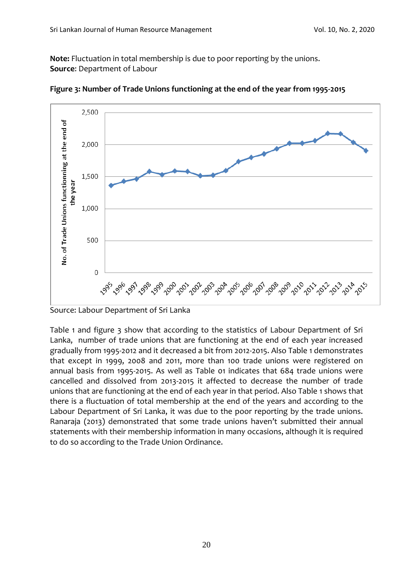**Note:** Fluctuation in total membership is due to poor reporting by the unions. **Source**: Department of Labour



**Figure 3: Number of Trade Unions functioning at the end of the year from 1995-2015**

Source: Labour Department of Sri Lanka

Table 1 and figure 3 show that according to the statistics of Labour Department of Sri Lanka, number of trade unions that are functioning at the end of each year increased gradually from 1995-2012 and it decreased a bit from 2012-2015. Also Table 1 demonstrates that except in 1999, 2008 and 2011, more than 100 trade unions were registered on annual basis from 1995-2015. As well as Table 01 indicates that 684 trade unions were cancelled and dissolved from 2013-2015 it affected to decrease the number of trade unions that are functioning at the end of each year in that period. Also Table 1 shows that there is a fluctuation of total membership at the end of the years and according to the Labour Department of Sri Lanka, it was due to the poor reporting by the trade unions. Ranaraja (2013) demonstrated that some trade unions haven't submitted their annual statements with their membership information in many occasions, although it is required to do so according to the Trade Union Ordinance.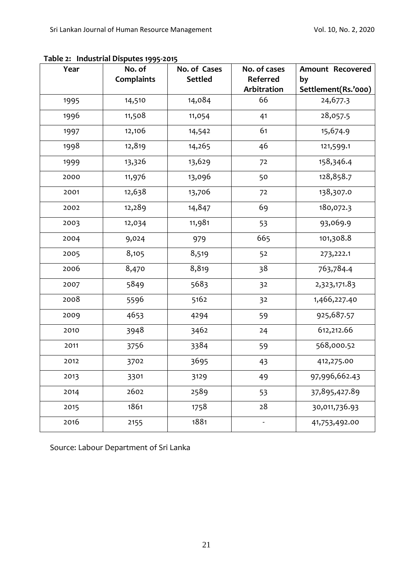| Year | No. of            | No. of Cases   | No. of cases            | <b>Amount Recovered</b>   |
|------|-------------------|----------------|-------------------------|---------------------------|
|      | <b>Complaints</b> | <b>Settled</b> | Referred<br>Arbitration | by<br>Settlement(Rs.'000) |
| 1995 | 14,510            | 14,084         | 66                      | 24,677.3                  |
| 1996 | 11,508            | 11,054         | 41                      | 28,057.5                  |
| 1997 | 12,106            | 14,542         | 61                      | 15,674.9                  |
| 1998 | 12,819            | 14,265         | 46                      | 121,599.1                 |
| 1999 | 13,326            | 13,629         | 72                      | 158,346.4                 |
| 2000 | 11,976            | 13,096         | 50                      | 128,858.7                 |
| 2001 | 12,638            | 13,706         | 72                      | 138,307.0                 |
| 2002 | 12,289            | 14,847         | 69                      | 180,072.3                 |
| 2003 | 12,034            | 11,981         | 53                      | 93,069.9                  |
| 2004 | 9,024             | 979            | 665                     | 101,308.8                 |
| 2005 | 8,105             | 8,519          | 52                      | 273,222.1                 |
| 2006 | 8,470             | 8,819          | 38                      | 763,784.4                 |
| 2007 | 5849              | 5683           | 32                      | 2,323,171.83              |
| 2008 | 5596              | 5162           | 32                      | 1,466,227.40              |
| 2009 | 4653              | 4294           | 59                      | 925,687.57                |
| 2010 | 3948              | 3462           | 24                      | 612,212.66                |
| 2011 | 3756              | 3384           | 59                      | 568,000.52                |
| 2012 | 3702              | 3695           | 43                      | 412,275.00                |
| 2013 | 3301              | 3129           | 49                      | 97,996,662.43             |
| 2014 | 2602              | 2589           | 53                      | 37,895,427.89             |
| 2015 | 1861              | 1758           | 28                      | 30,011,736.93             |
| 2016 | 2155              | 1881           |                         | 41,753,492.00             |

**Table 2: Industrial Disputes 1995-2015**

Source: Labour Department of Sri Lanka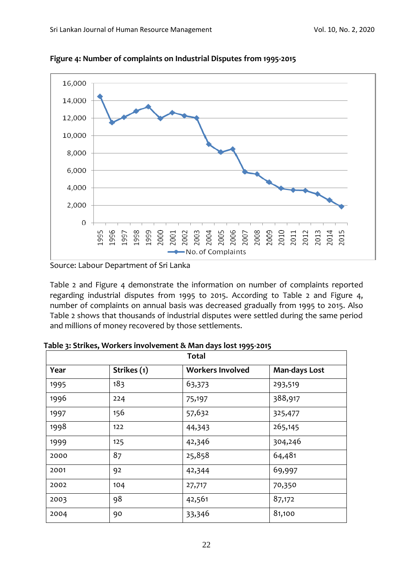

**Figure 4: Number of complaints on Industrial Disputes from 1995-2015**

Source: Labour Department of Sri Lanka

Table 2 and Figure 4 demonstrate the information on number of complaints reported regarding industrial disputes from 1995 to 2015. According to Table 2 and Figure 4, number of complaints on annual basis was decreased gradually from 1995 to 2015. Also Table 2 shows that thousands of industrial disputes were settled during the same period and millions of money recovered by those settlements.

| <b>Total</b> |             |                         |               |  |  |  |
|--------------|-------------|-------------------------|---------------|--|--|--|
| Year         | Strikes (1) | <b>Workers Involved</b> | Man-days Lost |  |  |  |
| 1995         | 183         | 63,373                  | 293,519       |  |  |  |
| 1996         | 224         | 75,197                  | 388,917       |  |  |  |
| 1997         | 156         | 57,632                  | 325,477       |  |  |  |
| 1998         | 122         | 44,343                  | 265,145       |  |  |  |
| 1999         | 125         | 42,346                  | 304,246       |  |  |  |
| 2000         | 87          | 25,858                  | 64,481        |  |  |  |
| 2001         | 92          | 42,344                  | 69,997        |  |  |  |
| 2002         | 104         | 27,717                  | 70,350        |  |  |  |
| 2003         | 98          | 42,561                  | 87,172        |  |  |  |
| 2004         | 90          | 33,346                  | 81,100        |  |  |  |

**Table 3: Strikes, Workers involvement & Man days lost 1995-2015**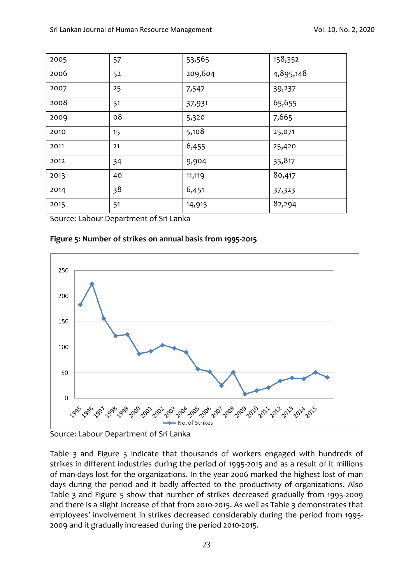| 2005 | 57 | 53,565  | 158,352   |
|------|----|---------|-----------|
| 2006 | 52 | 209,604 | 4,895,148 |
| 2007 | 25 | 7,547   | 39,237    |
| 2008 | 51 | 37,931  | 65,655    |
| 2009 | 08 | 5,320   | 7,665     |
| 2010 | 15 | 5,108   | 25,071    |
| 2011 | 21 | 6,455   | 25,420    |
| 2012 | 34 | 9,904   | 35,817    |
| 2013 | 40 | 11,119  | 80,417    |
| 2014 | 38 | 6,451   | 37,323    |
| 2015 | 51 | 14,915  | 82,294    |

Source: Labour Department of Sri Lanka

#### **Figure 5: Number of strikes on annual basis from 1995-2015**



Source: Labour Department of Sri Lanka

Table 3 and Figure 5 indicate that thousands of workers engaged with hundreds of strikes in different industries during the period of 1995-2015 and as a result of it millions of man-days lost for the organizations. In the year 2006 marked the highest lost of man days during the period and it badly affected to the productivity of organizations. Also Table 3 and Figure 5 show that number of strikes decreased gradually from 1995-2009 and there is a slight increase of that from 2010-2015. As well as Table 3 demonstrates that employees' involvement in strikes decreased considerably during the period from 1995- 2009 and it gradually increased during the period 2010-2015.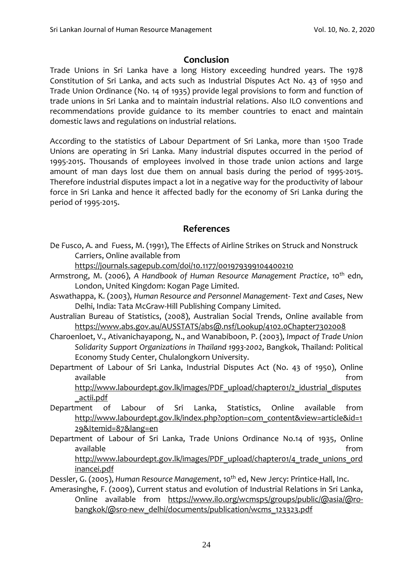# **Conclusion**

Trade Unions in Sri Lanka have a long History exceeding hundred years. The 1978 Constitution of Sri Lanka, and acts such as Industrial Disputes Act No. 43 of 1950 and Trade Union Ordinance (No. 14 of 1935) provide legal provisions to form and function of trade unions in Sri Lanka and to maintain industrial relations. Also ILO conventions and recommendations provide guidance to its member countries to enact and maintain domestic laws and regulations on industrial relations.

According to the statistics of Labour Department of Sri Lanka, more than 1500 Trade Unions are operating in Sri Lanka. Many industrial disputes occurred in the period of 1995-2015. Thousands of employees involved in those trade union actions and large amount of man days lost due them on annual basis during the period of 1995-2015. Therefore industrial disputes impact a lot in a negative way for the productivity of labour force in Sri Lanka and hence it affected badly for the economy of Sri Lanka during the period of 1995-2015.

## **References**

De Fusco, A. and Fuess, M. (1991), The Effects of Airline Strikes on Struck and Nonstruck Carriers, Online available from

<https://journals.sagepub.com/doi/10.1177/001979399104400210>

- Armstrong, M. (2006), *A Handbook of Human Resource Management Practice*, 10th edn, London, United Kingdom: Kogan Page Limited.
- Aswathappa, K. (2003), *Human Resource and Personnel Management- Text and Cases*, New Delhi, India: Tata McGraw-Hill Publishing Company Limited.
- Australian Bureau of Statistics, (2008), Australian Social Trends, Online available from <https://www.abs.gov.au/AUSSTATS/abs@.nsf/Lookup/4102.0Chapter7302008>
- Charoenloet, V., Ativanichayapong, N., and Wanabiboon, P. (2003), *Impact of Trade Union Solidarity Support Organizations in Thailand 1993-2002*, Bangkok, Thailand: Political Economy Study Center, Chulalongkorn University.
- Department of Labour of Sri Lanka, Industrial Disputes Act (No. 43 of 1950), Online available from the state of the state of the state of the state of the state of the state of the state of the s

[http://www.labourdept.gov.lk/images/PDF\\_upload/chapter01/2\\_idustrial\\_disputes](http://www.labourdept.gov.lk/images/PDF_upload/chapter01/2_idustrial_disputes_actii.pdf) [\\_actii.pdf](http://www.labourdept.gov.lk/images/PDF_upload/chapter01/2_idustrial_disputes_actii.pdf)

- Department of Labour of Sri Lanka, Statistics, Online available from [http://www.labourdept.gov.lk/index.php?option=com\\_content&view=article&id=1](http://www.labourdept.gov.lk/index.php?option=com_content&view=article&id=129&Itemid=87&lang=en) [29&Itemid=87&lang=en](http://www.labourdept.gov.lk/index.php?option=com_content&view=article&id=129&Itemid=87&lang=en)
- Department of Labour of Sri Lanka, Trade Unions Ordinance No.14 of 1935, Online available from [http://www.labourdept.gov.lk/images/PDF\\_upload/chapter01/4\\_trade\\_unions\\_ord](http://www.labourdept.gov.lk/images/PDF_upload/chapter01/4_trade_unions_ordinancei.pdf)

[inancei.pdf](http://www.labourdept.gov.lk/images/PDF_upload/chapter01/4_trade_unions_ordinancei.pdf)

Dessler, G. (2005), *Human Resource Management*, 10<sup>th</sup> ed, New Jercy: Printice-Hall, Inc.

Amerasinghe, F. (2009), Current status and evolution of Industrial Relations in Sri Lanka, Online available from [https://www.ilo.org/wcmsp5/groups/public/@asia/@ro](https://www.ilo.org/wcmsp5/groups/public/@asia/@ro-bangkok/@sro-new_delhi/documents/publication/wcms_123323.pdf)[bangkok/@sro-new\\_delhi/documents/publication/wcms\\_123323.pdf](https://www.ilo.org/wcmsp5/groups/public/@asia/@ro-bangkok/@sro-new_delhi/documents/publication/wcms_123323.pdf)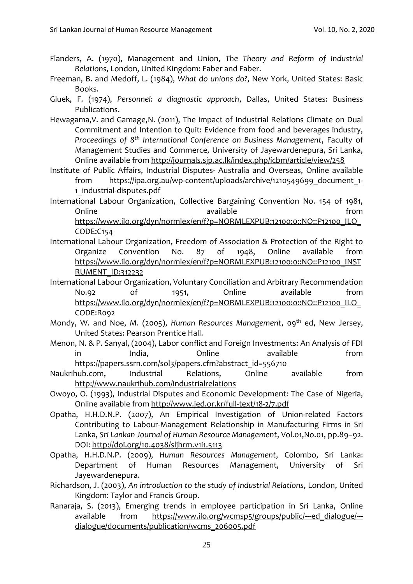- Flanders, A. (1970), Management and Union, *The Theory and Reform of Industrial Relations*, London, United Kingdom: Faber and Faber.
- Freeman, B. and Medoff, L. (1984), *What do unions do?*, New York, United States: Basic Books.
- Gluek, F. (1974), *Personnel: a diagnostic approach*, Dallas, United States: Business Publications.
- Hewagama,V. and Gamage,N. (2011), The impact of Industrial Relations Climate on Dual Commitment and Intention to Quit: Evidence from food and beverages industry, *Proceedings of 8th International Conference on Business Management*, Faculty of Management Studies and Commerce, University of Jayewardenepura, Sri Lanka, Online available from<http://journals.sjp.ac.lk/index.php/icbm/article/view/258>
- Institute of Public Affairs, Industrial Disputes- Australia and Overseas, Online available from [https://ipa.org.au/wp-content/uploads/archive/1210549699\\_document\\_1-](https://ipa.org.au/wp-content/uploads/archive/1210549699_document_1-1_industrial-disputes.pdf) [1\\_industrial-disputes.pdf](https://ipa.org.au/wp-content/uploads/archive/1210549699_document_1-1_industrial-disputes.pdf)
- International Labour Organization, Collective Bargaining Convention No. 154 of 1981, Online available available controlled the from https://www.ilo.org/dyn/normlex/en/f?p=NORMLEXPUB:12100:0::NO::P12100\_ILO [CODE:C154](https://www.ilo.org/dyn/normlex/en/f?p=NORMLEXPUB:12100:0::NO::P12100_ILO_CODE:C154)
- International Labour Organization, Freedom of Association & Protection of the Right to Organize Convention No. 87 of 1948, Online available from [https://www.ilo.org/dyn/normlex/en/f?p=NORMLEXPUB:12100:0::NO::P12100\\_INST](https://www.ilo.org/dyn/normlex/en/f?p=NORMLEXPUB:12100:0::NO::P12100_INSTRUMENT_ID:312232) [RUMENT\\_ID:312232](https://www.ilo.org/dyn/normlex/en/f?p=NORMLEXPUB:12100:0::NO::P12100_INSTRUMENT_ID:312232)
- International Labour Organization, Voluntary Conciliation and Arbitrary Recommendation No.92 of 1951, Online available from https://www.ilo.org/dyn/normlex/en/f?p=NORMLEXPUB:12100:0::NO::P12100\_ILO [CODE:R092](https://www.ilo.org/dyn/normlex/en/f?p=NORMLEXPUB:12100:0::NO::P12100_ILO_CODE:R092)
- Mondy, W. and Noe, M. (2005), *Human Resources Management*, 09<sup>th</sup> ed, New Jersey, United States: Pearson Prentice Hall.
- Menon, N. & P. Sanyal, (2004), Labor conflict and Foreign Investments: An Analysis of FDI in India, Online available from [https://papers.ssrn.com/sol3/papers.cfm?abstract\\_id=556710](https://papers.ssrn.com/sol3/papers.cfm?abstract_id=556710)
- Naukrihub.com, Industrial Relations, Online available from <http://www.naukrihub.com/industrialrelations>
- Owoyo, O. (1993), Industrial Disputes and Economic Development: The Case of Nigeria, Online available from<http://www.jed.or.kr/full-text/18-2/7.pdf>
- Opatha, H.H.D.N.P. (2007), An Empirical Investigation of Union-related Factors Contributing to Labour-Management Relationship in Manufacturing Firms in Sri Lanka, *Sri Lankan Journal of Human Resource Management*, Vol.01,No.01, pp.89–92. DOI:<http://doi.org/10.4038/sljhrm.v1i1.5113>
- Opatha, H.H.D.N.P. (2009), *Human Resources Management*, Colombo, Sri Lanka: Department of Human Resources Management, University of Sri Jayewardenepura.
- Richardson, J. (2003), *An introduction to the study of Industrial Relations*, London, United Kingdom: Taylor and Francis Group.
- Ranaraja, S. (2013), Emerging trends in employee participation in Sri Lanka, Online available from [https://www.ilo.org/wcmsp5/groups/public/---ed\\_dialogue/--](https://www.ilo.org/wcmsp5/groups/public/---ed_dialogue/---dialogue/documents/publication/wcms_206005.pdf) [dialogue/documents/publication/wcms\\_206005.pdf](https://www.ilo.org/wcmsp5/groups/public/---ed_dialogue/---dialogue/documents/publication/wcms_206005.pdf)